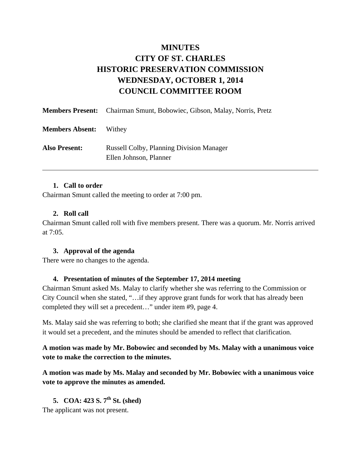# **MINUTES CITY OF ST. CHARLES HISTORIC PRESERVATION COMMISSION WEDNESDAY, OCTOBER 1, 2014 COUNCIL COMMITTEE ROOM**

|                        | <b>Members Present:</b> Chairman Smunt, Bobowiec, Gibson, Malay, Norris, Pretz |
|------------------------|--------------------------------------------------------------------------------|
| <b>Members Absent:</b> | Withey                                                                         |
| <b>Also Present:</b>   | <b>Russell Colby, Planning Division Manager</b><br>Ellen Johnson, Planner      |

#### **1. Call to order**

Chairman Smunt called the meeting to order at 7:00 pm.

#### **2. Roll call**

Chairman Smunt called roll with five members present. There was a quorum. Mr. Norris arrived at 7:05.

### **3. Approval of the agenda**

There were no changes to the agenda.

### **4. Presentation of minutes of the September 17, 2014 meeting**

Chairman Smunt asked Ms. Malay to clarify whether she was referring to the Commission or City Council when she stated, "…if they approve grant funds for work that has already been completed they will set a precedent…" under item #9, page 4.

Ms. Malay said she was referring to both; she clarified she meant that if the grant was approved it would set a precedent, and the minutes should be amended to reflect that clarification.

**A motion was made by Mr. Bobowiec and seconded by Ms. Malay with a unanimous voice vote to make the correction to the minutes.** 

**A motion was made by Ms. Malay and seconded by Mr. Bobowiec with a unanimous voice vote to approve the minutes as amended.** 

**5. COA: 423 S. 7th St. (shed)** 

The applicant was not present.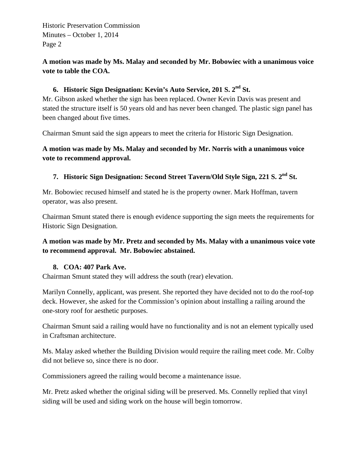# **A motion was made by Ms. Malay and seconded by Mr. Bobowiec with a unanimous voice vote to table the COA.**

# **6. Historic Sign Designation: Kevin's Auto Service, 201 S. 2nd St.**

Mr. Gibson asked whether the sign has been replaced. Owner Kevin Davis was present and stated the structure itself is 50 years old and has never been changed. The plastic sign panel has been changed about five times.

Chairman Smunt said the sign appears to meet the criteria for Historic Sign Designation.

### **A motion was made by Ms. Malay and seconded by Mr. Norris with a unanimous voice vote to recommend approval.**

# **7. Historic Sign Designation: Second Street Tavern/Old Style Sign, 221 S. 2nd St.**

Mr. Bobowiec recused himself and stated he is the property owner. Mark Hoffman, tavern operator, was also present.

Chairman Smunt stated there is enough evidence supporting the sign meets the requirements for Historic Sign Designation.

### **A motion was made by Mr. Pretz and seconded by Ms. Malay with a unanimous voice vote to recommend approval. Mr. Bobowiec abstained.**

### **8. COA: 407 Park Ave.**

Chairman Smunt stated they will address the south (rear) elevation.

Marilyn Connelly, applicant, was present. She reported they have decided not to do the roof-top deck. However, she asked for the Commission's opinion about installing a railing around the one-story roof for aesthetic purposes.

Chairman Smunt said a railing would have no functionality and is not an element typically used in Craftsman architecture.

Ms. Malay asked whether the Building Division would require the railing meet code. Mr. Colby did not believe so, since there is no door.

Commissioners agreed the railing would become a maintenance issue.

Mr. Pretz asked whether the original siding will be preserved. Ms. Connelly replied that vinyl siding will be used and siding work on the house will begin tomorrow.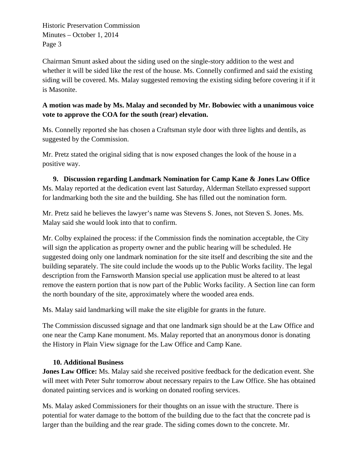Chairman Smunt asked about the siding used on the single-story addition to the west and whether it will be sided like the rest of the house. Ms. Connelly confirmed and said the existing siding will be covered. Ms. Malay suggested removing the existing siding before covering it if it is Masonite.

# **A motion was made by Ms. Malay and seconded by Mr. Bobowiec with a unanimous voice vote to approve the COA for the south (rear) elevation.**

Ms. Connelly reported she has chosen a Craftsman style door with three lights and dentils, as suggested by the Commission.

Mr. Pretz stated the original siding that is now exposed changes the look of the house in a positive way.

**9. Discussion regarding Landmark Nomination for Camp Kane & Jones Law Office**  Ms. Malay reported at the dedication event last Saturday, Alderman Stellato expressed support for landmarking both the site and the building. She has filled out the nomination form.

Mr. Pretz said he believes the lawyer's name was Stevens S. Jones, not Steven S. Jones. Ms. Malay said she would look into that to confirm.

Mr. Colby explained the process: if the Commission finds the nomination acceptable, the City will sign the application as property owner and the public hearing will be scheduled. He suggested doing only one landmark nomination for the site itself and describing the site and the building separately. The site could include the woods up to the Public Works facility. The legal description from the Farnsworth Mansion special use application must be altered to at least remove the eastern portion that is now part of the Public Works facility. A Section line can form the north boundary of the site, approximately where the wooded area ends.

Ms. Malay said landmarking will make the site eligible for grants in the future.

The Commission discussed signage and that one landmark sign should be at the Law Office and one near the Camp Kane monument. Ms. Malay reported that an anonymous donor is donating the History in Plain View signage for the Law Office and Camp Kane.

# **10. Additional Business**

**Jones Law Office:** Ms. Malay said she received positive feedback for the dedication event. She will meet with Peter Suhr tomorrow about necessary repairs to the Law Office. She has obtained donated painting services and is working on donated roofing services.

Ms. Malay asked Commissioners for their thoughts on an issue with the structure. There is potential for water damage to the bottom of the building due to the fact that the concrete pad is larger than the building and the rear grade. The siding comes down to the concrete. Mr.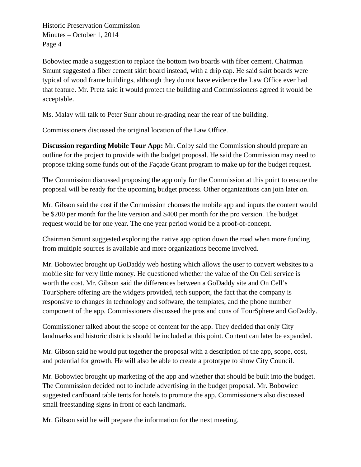Bobowiec made a suggestion to replace the bottom two boards with fiber cement. Chairman Smunt suggested a fiber cement skirt board instead, with a drip cap. He said skirt boards were typical of wood frame buildings, although they do not have evidence the Law Office ever had that feature. Mr. Pretz said it would protect the building and Commissioners agreed it would be acceptable.

Ms. Malay will talk to Peter Suhr about re-grading near the rear of the building.

Commissioners discussed the original location of the Law Office.

**Discussion regarding Mobile Tour App:** Mr. Colby said the Commission should prepare an outline for the project to provide with the budget proposal. He said the Commission may need to propose taking some funds out of the Façade Grant program to make up for the budget request.

The Commission discussed proposing the app only for the Commission at this point to ensure the proposal will be ready for the upcoming budget process. Other organizations can join later on.

Mr. Gibson said the cost if the Commission chooses the mobile app and inputs the content would be \$200 per month for the lite version and \$400 per month for the pro version. The budget request would be for one year. The one year period would be a proof-of-concept.

Chairman Smunt suggested exploring the native app option down the road when more funding from multiple sources is available and more organizations become involved.

Mr. Bobowiec brought up GoDaddy web hosting which allows the user to convert websites to a mobile site for very little money. He questioned whether the value of the On Cell service is worth the cost. Mr. Gibson said the differences between a GoDaddy site and On Cell's TourSphere offering are the widgets provided, tech support, the fact that the company is responsive to changes in technology and software, the templates, and the phone number component of the app. Commissioners discussed the pros and cons of TourSphere and GoDaddy.

Commissioner talked about the scope of content for the app. They decided that only City landmarks and historic districts should be included at this point. Content can later be expanded.

Mr. Gibson said he would put together the proposal with a description of the app, scope, cost, and potential for growth. He will also be able to create a prototype to show City Council.

Mr. Bobowiec brought up marketing of the app and whether that should be built into the budget. The Commission decided not to include advertising in the budget proposal. Mr. Bobowiec suggested cardboard table tents for hotels to promote the app. Commissioners also discussed small freestanding signs in front of each landmark.

Mr. Gibson said he will prepare the information for the next meeting.